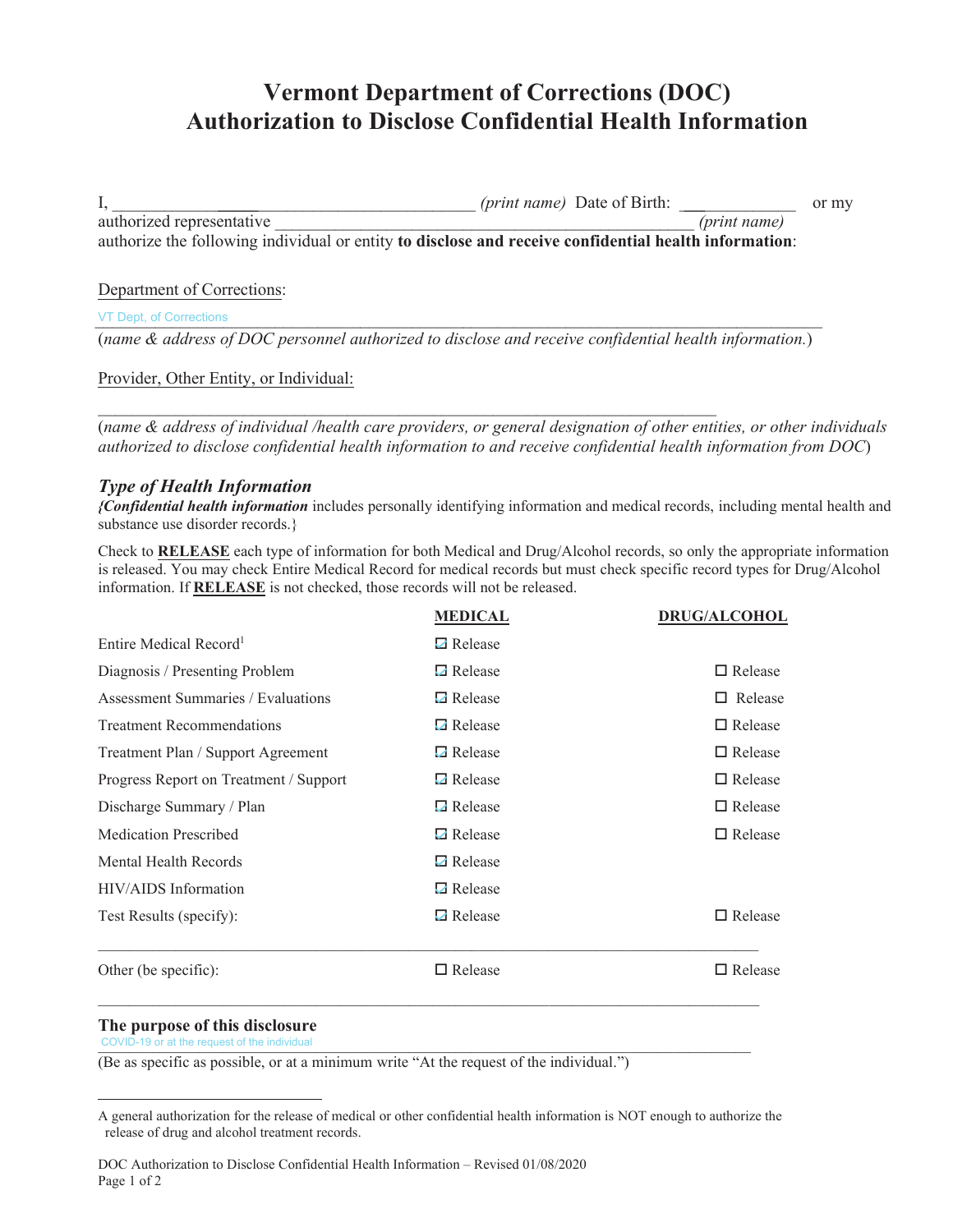# **Vermont Department of Corrections (DOC) Authorization to Disclose Confidential Health Information**

I,  $(print name)$  Date of Birth: or my authorized representative *(print name)* authorize the following individual or entity **to disclose and receive confidential health information**:

# Department of Corrections:

VT Dept, of Corrections

(*name & address of DOC personnel authorized to disclose and receive confidential health information.*)

 $\_$ 

Provider, Other Entity, or Individual:

(*name & address of individual /health care providers, or general designation of other entities, or other individuals authorized to disclose confidential health information to and receive confidential health information from DOC*)

# *Type of Health Information*

*{Confidential health information* includes personally identifying information and medical records, including mental health and substance use disorder records.}

Check to **RELEASE** each type of information for both Medical and Drug/Alcohol records, so only the appropriate information is released. You may check Entire Medical Record for medical records but must check specific record types for Drug/Alcohol information. If **RELEASE** is not checked, those records will not be released.

|                                        | <b>MEDICAL</b>   | <b>DRUG/ALCOHOL</b> |  |
|----------------------------------------|------------------|---------------------|--|
| Entire Medical Record <sup>1</sup>     | <b>□</b> Release |                     |  |
| Diagnosis / Presenting Problem         | $\Box$ Release   | $\Box$ Release      |  |
| Assessment Summaries / Evaluations     | <b>□</b> Release | $\Box$ Release      |  |
| <b>Treatment Recommendations</b>       | <b>□</b> Release | $\Box$ Release      |  |
| Treatment Plan / Support Agreement     | $\Box$ Release   | $\Box$ Release      |  |
| Progress Report on Treatment / Support | <b>□</b> Release | $\Box$ Release      |  |
| Discharge Summary / Plan               | $\Box$ Release   | $\Box$ Release      |  |
| <b>Medication Prescribed</b>           | <b>□</b> Release | $\Box$ Release      |  |
| Mental Health Records                  | <b>□</b> Release |                     |  |
| HIV/AIDS Information                   | <b>□</b> Release |                     |  |
| Test Results (specify):                | $\Box$ Release   | $\Box$ Release      |  |
| Other (be specific):                   | $\Box$ Release   | $\Box$ Release      |  |

#### **The purpose of this disclosure**

 $CovID-19$  or at the request of the individual  $CovID-19$  or at the request of the individual

(Be as specific as possible, or at a minimum write "At the request of the individual.")

 $\_$  , and the set of the set of the set of the set of the set of the set of the set of the set of the set of the set of the set of the set of the set of the set of the set of the set of the set of the set of the set of th

A general authorization for the release of medical or other confidential health information is NOT enough to authorize the release of drug and alcohol treatment records.